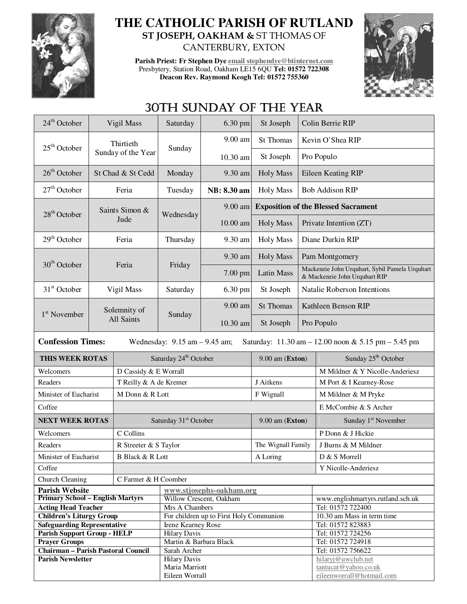

## **THE CATHOLIC PARISH OF RUTLAND ST JOSEPH, OAKHAM &** ST THOMAS OF CANTERBURY, EXTON

**Parish Priest: Fr Stephen Dye email stephendye@btinternet.com** Presbytery, Station Road, Oakham LE15 6QU **Tel: 01572 722308 Deacon Rev. Raymond Keogh Tel: 01572 755360** 



## 30TH SUNDAY OF THE YEAR

| $24th$ October                                                                                                       |                        | Vigil Mass                        | Saturday                              | 6.30 pm                                             | St Joseph          |                                                                                 | Colin Berrie RIP                           |  |
|----------------------------------------------------------------------------------------------------------------------|------------------------|-----------------------------------|---------------------------------------|-----------------------------------------------------|--------------------|---------------------------------------------------------------------------------|--------------------------------------------|--|
| $25th$ October                                                                                                       |                        | Thirtieth                         |                                       | 9.00 am                                             | St Thomas          |                                                                                 | Kevin O'Shea RIP                           |  |
|                                                                                                                      | Sunday of the Year     |                                   | Sunday                                | 10.30 am                                            | St Joseph          | Pro Populo                                                                      |                                            |  |
| $26th$ October                                                                                                       | St Chad & St Cedd      |                                   | Monday                                | 9.30 am                                             | <b>Holy Mass</b>   | Eileen Keating RIP                                                              |                                            |  |
| $27th$ October                                                                                                       | Feria                  |                                   | Tuesday                               | NB: 8.30 am                                         | <b>Holy Mass</b>   | <b>Bob Addison RIP</b>                                                          |                                            |  |
| $28th$ October                                                                                                       | Saints Simon &<br>Jude |                                   | Wednesday                             | 9.00 am                                             |                    | <b>Exposition of the Blessed Sacrament</b>                                      |                                            |  |
|                                                                                                                      |                        |                                   |                                       | $10.00$ am                                          | <b>Holy Mass</b>   |                                                                                 | Private Intention (ZT)                     |  |
| $29th$ October                                                                                                       | Feria                  |                                   | Thursday                              | 9.30 am                                             | <b>Holy Mass</b>   | Diane Durkin RIP                                                                |                                            |  |
| $30th$ October                                                                                                       | Feria                  |                                   | Friday                                | 9.30 am                                             | <b>Holy Mass</b>   | Pam Montgomery                                                                  |                                            |  |
|                                                                                                                      |                        |                                   |                                       | $7.00$ pm                                           | <b>Latin Mass</b>  | Mackenzie John Urquhart, Sybil Pamela Urquhart<br>& Mackenzie John Urquhart RIP |                                            |  |
| $31st$ October                                                                                                       |                        | Vigil Mass                        | Saturday                              | 6.30 pm                                             | St Joseph          |                                                                                 | <b>Natalie Roberson Intentions</b>         |  |
| 1 <sup>st</sup> November                                                                                             |                        | Solemnity of<br>All Saints        | Sunday                                | 9.00 am                                             | St Thomas          |                                                                                 | Kathleen Benson RIP                        |  |
|                                                                                                                      |                        |                                   |                                       | 10.30 am                                            | St Joseph          |                                                                                 | Pro Populo                                 |  |
| <b>Confession Times:</b><br>Saturday: 11.30 am - 12.00 noon & 5.15 pm - 5.45 pm<br>Wednesday: $9.15$ am $- 9.45$ am; |                        |                                   |                                       |                                                     |                    |                                                                                 |                                            |  |
| THIS WEEK ROTAS                                                                                                      |                        |                                   | Saturday 24 <sup>th</sup> October     |                                                     | 9.00 am (Exton)    |                                                                                 | Sunday 25 <sup>th</sup> October            |  |
| Welcomers                                                                                                            |                        | D Cassidy & E Worrall             |                                       |                                                     |                    |                                                                                 | M Mildner & Y Nicolle-Anderiesz            |  |
| Readers                                                                                                              |                        | T Reilly & A de Kremer            |                                       |                                                     | J Aitkens          |                                                                                 | M Port & I Kearney-Rose                    |  |
| Minister of Eucharist                                                                                                |                        | M Donn & R Lott                   |                                       |                                                     | F Wignall          |                                                                                 | M Mildner & M Pryke                        |  |
| Coffee                                                                                                               |                        |                                   |                                       |                                                     |                    | E McCombie & S Archer                                                           |                                            |  |
| <b>NEXT WEEK ROTAS</b>                                                                                               |                        | Saturday 31 <sup>st</sup> October |                                       |                                                     | 9.00 am (Exton)    |                                                                                 | Sunday 1 <sup>st</sup> November            |  |
| Welcomers                                                                                                            |                        | C Collins                         |                                       |                                                     |                    |                                                                                 | P Donn & J Hickie                          |  |
| Readers                                                                                                              |                        | R Streeter & S Taylor             |                                       |                                                     | The Wignall Family |                                                                                 | J Burns & M Mildner                        |  |
| Minister of Eucharist                                                                                                |                        | <b>B</b> Black & R Lott           |                                       |                                                     | A Loring           |                                                                                 | D & S Morrell                              |  |
| Coffee                                                                                                               |                        |                                   |                                       |                                                     |                    |                                                                                 | Y Nicolle-Anderiesz                        |  |
| C Farmer & H Coomber                                                                                                 |                        |                                   |                                       |                                                     |                    |                                                                                 |                                            |  |
|                                                                                                                      |                        |                                   |                                       |                                                     |                    |                                                                                 |                                            |  |
| Church Cleaning                                                                                                      |                        |                                   |                                       |                                                     |                    |                                                                                 |                                            |  |
| <b>Parish Website</b><br><b>Primary School - English Martyrs</b>                                                     |                        |                                   |                                       | www.stjosephs-oakham.org<br>Willow Crescent, Oakham |                    |                                                                                 | www.englishmartyrs.rutland.sch.uk          |  |
| <b>Acting Head Teacher</b>                                                                                           |                        |                                   | Mrs A Chambers                        |                                                     |                    |                                                                                 | Tel: 01572 722400                          |  |
| <b>Children's Liturgy Group</b>                                                                                      |                        |                                   |                                       | For children up to First Holy Communion             |                    |                                                                                 | 10.30 am Mass in term time                 |  |
| <b>Safeguarding Representative</b>                                                                                   |                        |                                   | Irene Kearney Rose                    |                                                     |                    |                                                                                 | Tel: 01572 823883                          |  |
| <b>Parish Support Group - HELP</b>                                                                                   |                        |                                   | <b>Hilary Davis</b>                   |                                                     |                    |                                                                                 | Tel: 01572 724256                          |  |
| <b>Prayer Groups</b>                                                                                                 |                        |                                   | Martin & Barbara Black                |                                                     |                    |                                                                                 | Tel: 01572 724918                          |  |
| <b>Chairman - Parish Pastoral Council</b><br><b>Parish Newsletter</b>                                                |                        |                                   | Sarah Archer                          |                                                     |                    |                                                                                 | Tel: 01572 756622                          |  |
|                                                                                                                      |                        |                                   | <b>Hilary Davis</b><br>Maria Marriott |                                                     |                    |                                                                                 | hilaryj@uwclub.net<br>tantucat@yahoo.co.uk |  |